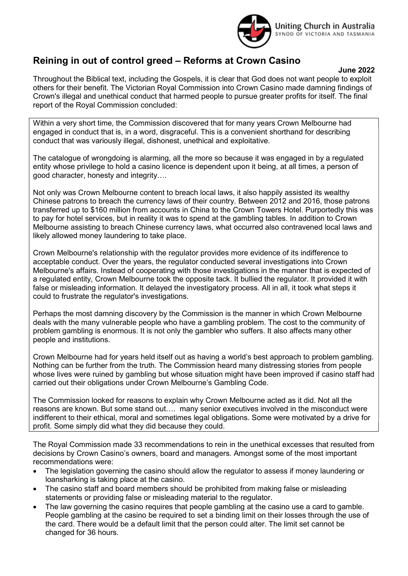

## Reining in out of control greed – Reforms at Crown Casino

## June 2022

Throughout the Biblical text, including the Gospels, it is clear that God does not want people to exploit others for their benefit. The Victorian Royal Commission into Crown Casino made damning findings of Crown's illegal and unethical conduct that harmed people to pursue greater profits for itself. The final report of the Royal Commission concluded:

Within a very short time, the Commission discovered that for many years Crown Melbourne had engaged in conduct that is, in a word, disgraceful. This is a convenient shorthand for describing conduct that was variously illegal, dishonest, unethical and exploitative.

The catalogue of wrongdoing is alarming, all the more so because it was engaged in by a regulated entity whose privilege to hold a casino licence is dependent upon it being, at all times, a person of good character, honesty and integrity….

Not only was Crown Melbourne content to breach local laws, it also happily assisted its wealthy Chinese patrons to breach the currency laws of their country. Between 2012 and 2016, those patrons transferred up to \$160 million from accounts in China to the Crown Towers Hotel. Purportedly this was to pay for hotel services, but in reality it was to spend at the gambling tables. In addition to Crown Melbourne assisting to breach Chinese currency laws, what occurred also contravened local laws and likely allowed money laundering to take place.

Crown Melbourne's relationship with the regulator provides more evidence of its indifference to acceptable conduct. Over the years, the regulator conducted several investigations into Crown Melbourne's affairs. Instead of cooperating with those investigations in the manner that is expected of a regulated entity, Crown Melbourne took the opposite tack. It bullied the regulator. It provided it with false or misleading information. It delayed the investigatory process. All in all, it took what steps it could to frustrate the regulator's investigations.

Perhaps the most damning discovery by the Commission is the manner in which Crown Melbourne deals with the many vulnerable people who have a gambling problem. The cost to the community of problem gambling is enormous. It is not only the gambler who suffers. It also affects many other people and institutions.

Crown Melbourne had for years held itself out as having a world's best approach to problem gambling. Nothing can be further from the truth. The Commission heard many distressing stories from people whose lives were ruined by gambling but whose situation might have been improved if casino staff had carried out their obligations under Crown Melbourne's Gambling Code.

The Commission looked for reasons to explain why Crown Melbourne acted as it did. Not all the reasons are known. But some stand out…. many senior executives involved in the misconduct were indifferent to their ethical, moral and sometimes legal obligations. Some were motivated by a drive for profit. Some simply did what they did because they could.

The Royal Commission made 33 recommendations to rein in the unethical excesses that resulted from decisions by Crown Casino's owners, board and managers. Amongst some of the most important recommendations were:

- The legislation governing the casino should allow the regulator to assess if money laundering or loansharking is taking place at the casino.
- The casino staff and board members should be prohibited from making false or misleading statements or providing false or misleading material to the regulator.
- The law governing the casino requires that people gambling at the casino use a card to gamble. People gambling at the casino be required to set a binding limit on their losses through the use of the card. There would be a default limit that the person could alter. The limit set cannot be changed for 36 hours.